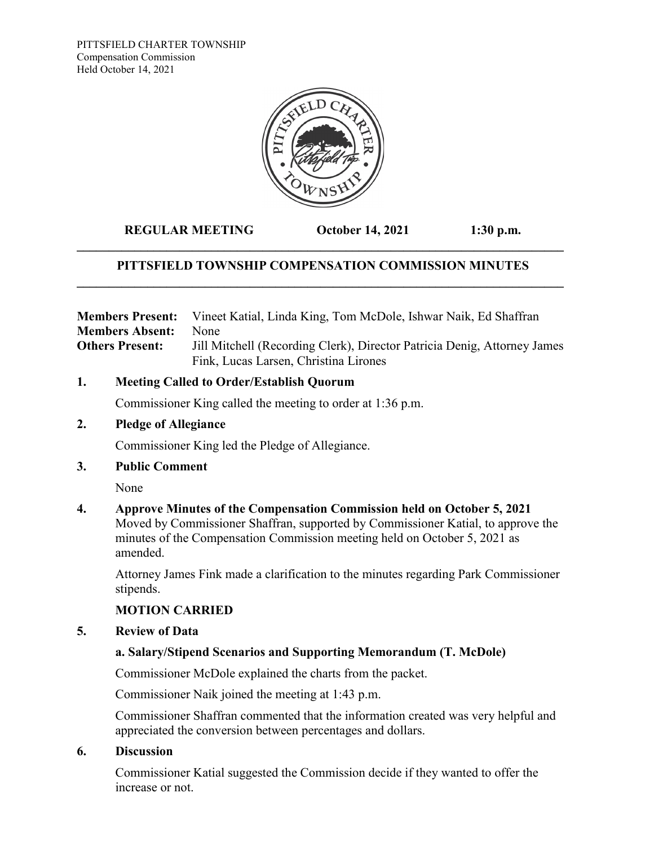PITTSFIELD CHARTER TOWNSHIP Compensation Commission Held October 14, 2021



**REGULAR MEETING October 14, 2021 1:30 p.m.**

# **PITTSFIELD TOWNSHIP COMPENSATION COMMISSION MINUTES \_\_\_\_\_\_\_\_\_\_\_\_\_\_\_\_\_\_\_\_\_\_\_\_\_\_\_\_\_\_\_\_\_\_\_\_\_\_\_\_\_\_\_\_\_\_\_\_\_\_\_\_\_\_\_\_\_\_\_\_\_\_\_\_\_\_\_\_\_\_\_\_\_\_\_\_**

**\_\_\_\_\_\_\_\_\_\_\_\_\_\_\_\_\_\_\_\_\_\_\_\_\_\_\_\_\_\_\_\_\_\_\_\_\_\_\_\_\_\_\_\_\_\_\_\_\_\_\_\_\_\_\_\_\_\_\_\_\_\_\_\_\_\_\_\_\_\_\_\_\_\_\_\_**

| <b>Members Present:</b> | Vineet Katial, Linda King, Tom McDole, Ishwar Naik, Ed Shaffran          |
|-------------------------|--------------------------------------------------------------------------|
| <b>Members Absent:</b>  | <b>None</b>                                                              |
| <b>Others Present:</b>  | Jill Mitchell (Recording Clerk), Director Patricia Denig, Attorney James |
|                         | Fink, Lucas Larsen, Christina Lirones                                    |

## **1. Meeting Called to Order/Establish Quorum**

Commissioner King called the meeting to order at 1:36 p.m.

## **2. Pledge of Allegiance**

Commissioner King led the Pledge of Allegiance.

## **3. Public Comment**

None

## **4. Approve Minutes of the Compensation Commission held on October 5, 2021**

Moved by Commissioner Shaffran, supported by Commissioner Katial, to approve the minutes of the Compensation Commission meeting held on October 5, 2021 as amended.

Attorney James Fink made a clarification to the minutes regarding Park Commissioner stipends.

# **MOTION CARRIED**

## **5. Review of Data**

# **a. Salary/Stipend Scenarios and Supporting Memorandum (T. McDole)**

Commissioner McDole explained the charts from the packet.

Commissioner Naik joined the meeting at 1:43 p.m.

Commissioner Shaffran commented that the information created was very helpful and appreciated the conversion between percentages and dollars.

## **6. Discussion**

Commissioner Katial suggested the Commission decide if they wanted to offer the increase or not.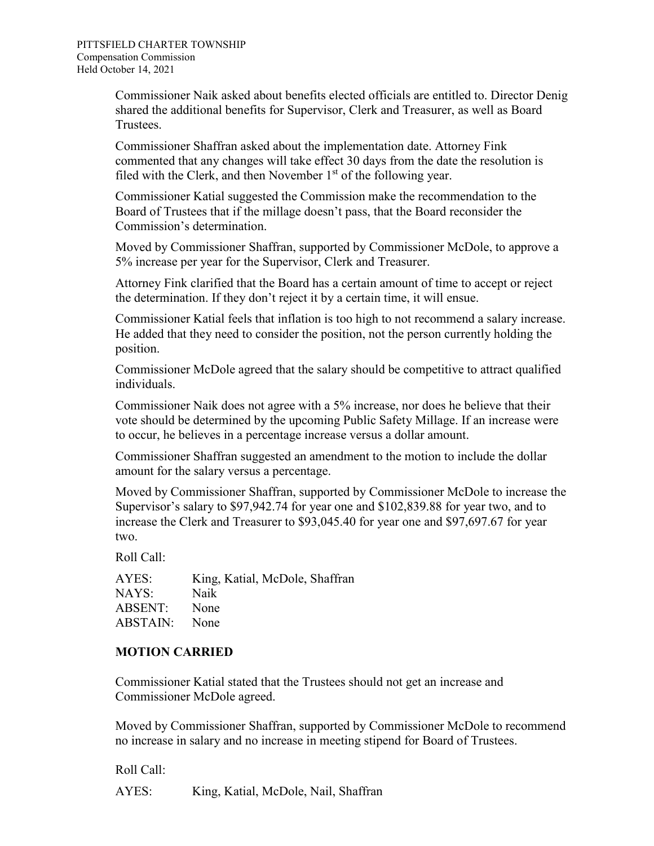Commissioner Naik asked about benefits elected officials are entitled to. Director Denig shared the additional benefits for Supervisor, Clerk and Treasurer, as well as Board Trustees.

Commissioner Shaffran asked about the implementation date. Attorney Fink commented that any changes will take effect 30 days from the date the resolution is filed with the Clerk, and then November  $1<sup>st</sup>$  of the following year.

Commissioner Katial suggested the Commission make the recommendation to the Board of Trustees that if the millage doesn't pass, that the Board reconsider the Commission's determination.

Moved by Commissioner Shaffran, supported by Commissioner McDole, to approve a 5% increase per year for the Supervisor, Clerk and Treasurer.

Attorney Fink clarified that the Board has a certain amount of time to accept or reject the determination. If they don't reject it by a certain time, it will ensue.

Commissioner Katial feels that inflation is too high to not recommend a salary increase. He added that they need to consider the position, not the person currently holding the position.

Commissioner McDole agreed that the salary should be competitive to attract qualified individuals.

Commissioner Naik does not agree with a 5% increase, nor does he believe that their vote should be determined by the upcoming Public Safety Millage. If an increase were to occur, he believes in a percentage increase versus a dollar amount.

Commissioner Shaffran suggested an amendment to the motion to include the dollar amount for the salary versus a percentage.

Moved by Commissioner Shaffran, supported by Commissioner McDole to increase the Supervisor's salary to \$97,942.74 for year one and \$102,839.88 for year two, and to increase the Clerk and Treasurer to \$93,045.40 for year one and \$97,697.67 for year two.

Roll Call:

AYES: King, Katial, McDole, Shaffran NAYS: Naik ABSENT: None ABSTAIN: None

# **MOTION CARRIED**

Commissioner Katial stated that the Trustees should not get an increase and Commissioner McDole agreed.

Moved by Commissioner Shaffran, supported by Commissioner McDole to recommend no increase in salary and no increase in meeting stipend for Board of Trustees.

Roll Call:

AYES: King, Katial, McDole, Nail, Shaffran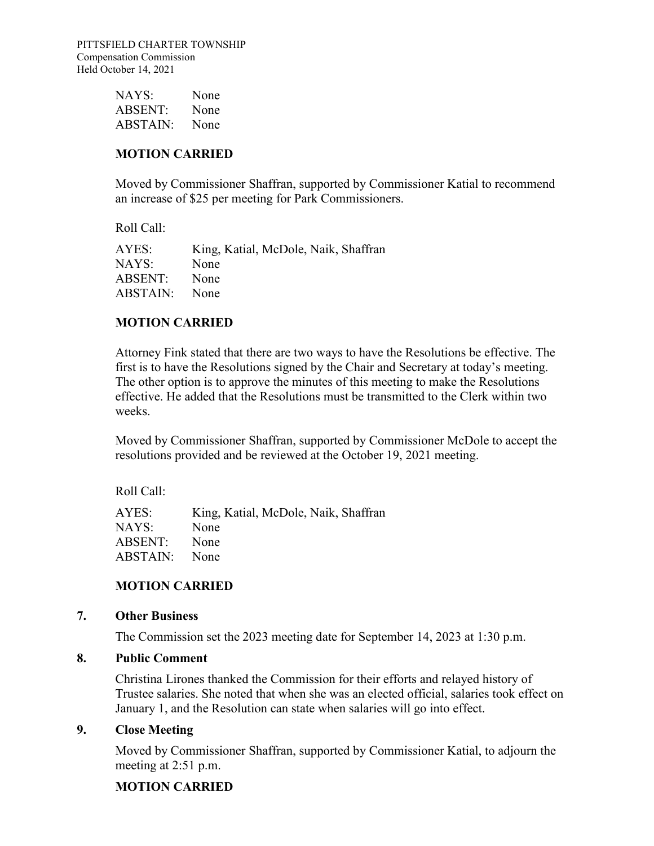| NAYS:           | None |
|-----------------|------|
| <b>ABSENT:</b>  | None |
| <b>ABSTAIN:</b> | None |

## **MOTION CARRIED**

Moved by Commissioner Shaffran, supported by Commissioner Katial to recommend an increase of \$25 per meeting for Park Commissioners.

Roll Call:

| AYES:    | King, Katial, McDole, Naik, Shaffran |
|----------|--------------------------------------|
| NAYS:    | None                                 |
| ABSENT:  | None                                 |
| ABSTAIN: | None                                 |

#### **MOTION CARRIED**

Attorney Fink stated that there are two ways to have the Resolutions be effective. The first is to have the Resolutions signed by the Chair and Secretary at today's meeting. The other option is to approve the minutes of this meeting to make the Resolutions effective. He added that the Resolutions must be transmitted to the Clerk within two weeks.

Moved by Commissioner Shaffran, supported by Commissioner McDole to accept the resolutions provided and be reviewed at the October 19, 2021 meeting.

Roll Call:

AYES: King, Katial, McDole, Naik, Shaffran NAYS: None ABSENT: None ABSTAIN: None

## **MOTION CARRIED**

#### **7. Other Business**

The Commission set the 2023 meeting date for September 14, 2023 at 1:30 p.m.

## **8. Public Comment**

Christina Lirones thanked the Commission for their efforts and relayed history of Trustee salaries. She noted that when she was an elected official, salaries took effect on January 1, and the Resolution can state when salaries will go into effect.

#### **9. Close Meeting**

Moved by Commissioner Shaffran, supported by Commissioner Katial, to adjourn the meeting at 2:51 p.m.

## **MOTION CARRIED**